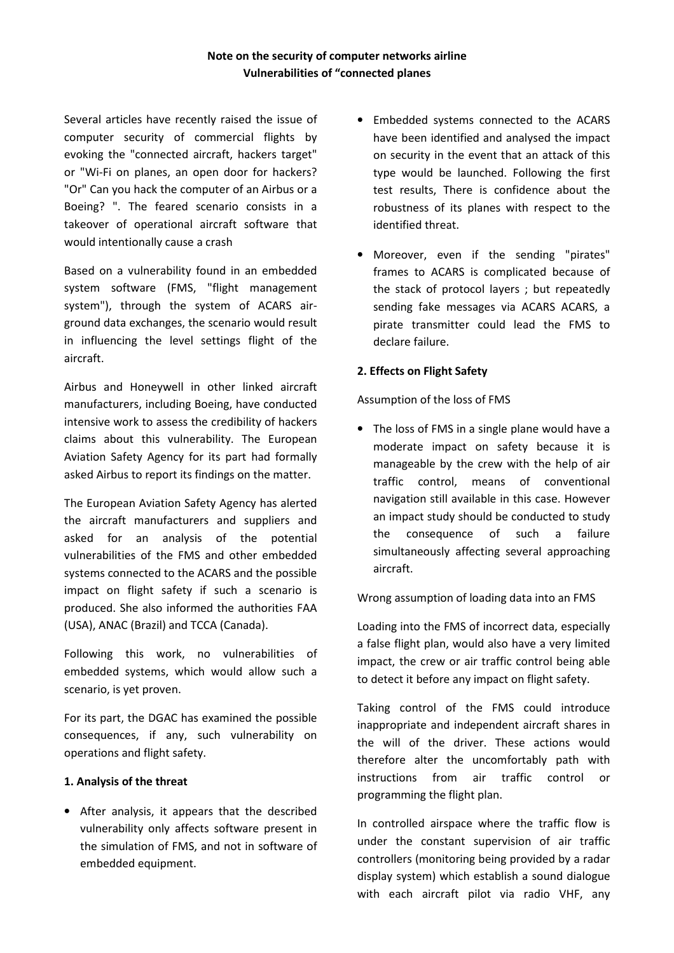# **Note on the security of computer networks airline Vulnerabilities of "connected planes**

Several articles have recently raised the issue of computer security of commercial flights by evoking the "connected aircraft, hackers target" or "Wi-Fi on planes, an open door for hackers? "Or" Can you hack the computer of an Airbus or a Boeing? ". The feared scenario consists in a takeover of operational aircraft software that would intentionally cause a crash

Based on a vulnerability found in an embedded system software (FMS, "flight management system"), through the system of ACARS airground data exchanges, the scenario would result in influencing the level settings flight of the aircraft.

Airbus and Honeywell in other linked aircraft manufacturers, including Boeing, have conducted intensive work to assess the credibility of hackers claims about this vulnerability. The European Aviation Safety Agency for its part had formally asked Airbus to report its findings on the matter.

The European Aviation Safety Agency has alerted the aircraft manufacturers and suppliers and asked for an analysis of the potential vulnerabilities of the FMS and other embedded systems connected to the ACARS and the possible impact on flight safety if such a scenario is produced. She also informed the authorities FAA (USA), ANAC (Brazil) and TCCA (Canada).

Following this work, no vulnerabilities of embedded systems, which would allow such a scenario, is yet proven.

For its part, the DGAC has examined the possible consequences, if any, such vulnerability on operations and flight safety.

### **1. Analysis of the threat**

• After analysis, it appears that the described vulnerability only affects software present in the simulation of FMS, and not in software of embedded equipment.

- Embedded systems connected to the ACARS have been identified and analysed the impact on security in the event that an attack of this type would be launched. Following the first test results, There is confidence about the robustness of its planes with respect to the identified threat.
- Moreover, even if the sending "pirates" frames to ACARS is complicated because of the stack of protocol layers ; but repeatedly sending fake messages via ACARS ACARS, a pirate transmitter could lead the FMS to declare failure.

# **2. Effects on Flight Safety**

Assumption of the loss of FMS

• The loss of FMS in a single plane would have a moderate impact on safety because it is manageable by the crew with the help of air traffic control, means of conventional navigation still available in this case. However an impact study should be conducted to study the consequence of such a failure simultaneously affecting several approaching aircraft.

# Wrong assumption of loading data into an FMS

Loading into the FMS of incorrect data, especially a false flight plan, would also have a very limited impact, the crew or air traffic control being able to detect it before any impact on flight safety.

Taking control of the FMS could introduce inappropriate and independent aircraft shares in the will of the driver. These actions would therefore alter the uncomfortably path with instructions from air traffic control or programming the flight plan.

In controlled airspace where the traffic flow is under the constant supervision of air traffic controllers (monitoring being provided by a radar display system) which establish a sound dialogue with each aircraft pilot via radio VHF, any